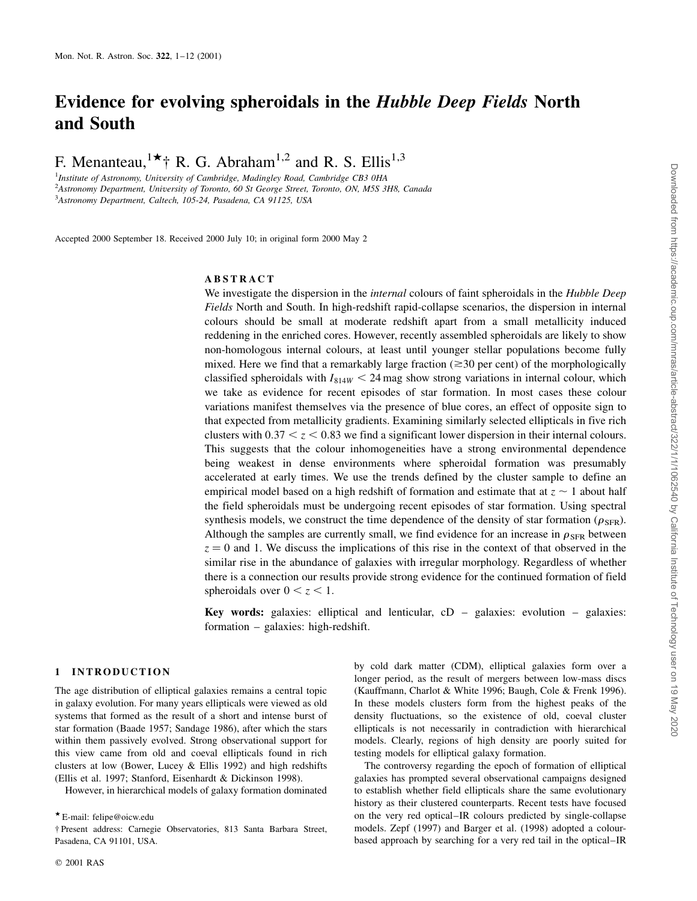# Evidence for evolving spheroidals in the Hubble Deep Fields North and South

F. Menanteau,  $x^*$  R. G. Abraham<sup>1,2</sup> and R. S. Ellis<sup>1,3</sup>

<sup>1</sup>Institute of Astronomy, University of Cambridge, Madingley Road, Cambridge CB3 0HA <sup>2</sup>Astronomy Department, University of Toronto, 60 St George Street, Toronto, ON, M5S 3H8, Canada 3 Astronomy Department, Caltech, 105-24, Pasadena, CA 91125, USA

Accepted 2000 September 18. Received 2000 July 10; in original form 2000 May 2

## ABSTRACT

We investigate the dispersion in the *internal* colours of faint spheroidals in the *Hubble Deep* Fields North and South. In high-redshift rapid-collapse scenarios, the dispersion in internal colours should be small at moderate redshift apart from a small metallicity induced reddening in the enriched cores. However, recently assembled spheroidals are likely to show non-homologous internal colours, at least until younger stellar populations become fully mixed. Here we find that a remarkably large fraction ( $\geq$ 30 per cent) of the morphologically classified spheroidals with  $I_{814W}$  < 24 mag show strong variations in internal colour, which we take as evidence for recent episodes of star formation. In most cases these colour variations manifest themselves via the presence of blue cores, an effect of opposite sign to that expected from metallicity gradients. Examining similarly selected ellipticals in five rich clusters with  $0.37 < z < 0.83$  we find a significant lower dispersion in their internal colours. This suggests that the colour inhomogeneities have a strong environmental dependence being weakest in dense environments where spheroidal formation was presumably accelerated at early times. We use the trends defined by the cluster sample to define an empirical model based on a high redshift of formation and estimate that at  $z \sim 1$  about half the field spheroidals must be undergoing recent episodes of star formation. Using spectral synthesis models, we construct the time dependence of the density of star formation ( $\rho_{SFR}$ ). Although the samples are currently small, we find evidence for an increase in  $\rho_{\rm SFR}$  between  $z = 0$  and 1. We discuss the implications of this rise in the context of that observed in the similar rise in the abundance of galaxies with irregular morphology. Regardless of whether there is a connection our results provide strong evidence for the continued formation of field spheroidals over  $0 < z < 1$ .

Key words: galaxies: elliptical and lenticular,  $cD -$  galaxies: evolution  $-\theta$  galaxies:  $formation - galaxies: high-redshift.$ 

#### 1 INTRODUCTION

The age distribution of elliptical galaxies remains a central topic in galaxy evolution. For many years ellipticals were viewed as old systems that formed as the result of a short and intense burst of star formation (Baade 1957; Sandage 1986), after which the stars within them passively evolved. Strong observational support for this view came from old and coeval ellipticals found in rich clusters at low (Bower, Lucey & Ellis 1992) and high redshifts (Ellis et al. 1997; Stanford, Eisenhardt & Dickinson 1998).

However, in hierarchical models of galaxy formation dominated

by cold dark matter (CDM), elliptical galaxies form over a longer period, as the result of mergers between low-mass discs (Kauffmann, Charlot & White 1996; Baugh, Cole & Frenk 1996). In these models clusters form from the highest peaks of the density fluctuations, so the existence of old, coeval cluster ellipticals is not necessarily in contradiction with hierarchical models. Clearly, regions of high density are poorly suited for testing models for elliptical galaxy formation.

The controversy regarding the epoch of formation of elliptical galaxies has prompted several observational campaigns designed to establish whether field ellipticals share the same evolutionary history as their clustered counterparts. Recent tests have focused on the very red optical–IR colours predicted by single-collapse models. Zepf (1997) and Barger et al. (1998) adopted a colourbased approach by searching for a very red tail in the optical–IR

 $\star$  E-mail: felipe@oicw.edu

² Present address: Carnegie Observatories, 813 Santa Barbara Street, Pasadena, CA 91101, USA.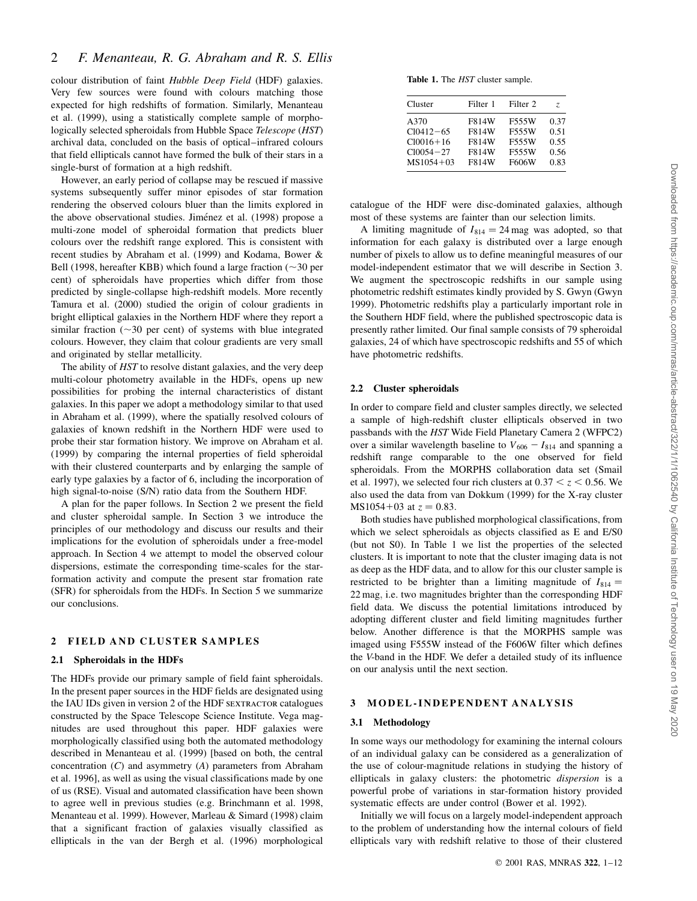# 2 F. Menanteau, R. G. Abraham and R. S. Ellis

colour distribution of faint Hubble Deep Field (HDF) galaxies. Very few sources were found with colours matching those expected for high redshifts of formation. Similarly, Menanteau et al. (1999), using a statistically complete sample of morphologically selected spheroidals from Hubble Space Telescope (HST) archival data, concluded on the basis of optical-infrared colours that field ellipticals cannot have formed the bulk of their stars in a single-burst of formation at a high redshift.

However, an early period of collapse may be rescued if massive systems subsequently suffer minor episodes of star formation rendering the observed colours bluer than the limits explored in the above observational studies. Jiménez et al. (1998) propose a multi-zone model of spheroidal formation that predicts bluer colours over the redshift range explored. This is consistent with recent studies by Abraham et al. (1999) and Kodama, Bower & Bell (1998, hereafter KBB) which found a large fraction ( $\sim$ 30 per cent) of spheroidals have properties which differ from those predicted by single-collapse high-redshift models. More recently Tamura et al. (2000) studied the origin of colour gradients in bright elliptical galaxies in the Northern HDF where they report a similar fraction  $(\sim 30$  per cent) of systems with blue integrated colours. However, they claim that colour gradients are very small and originated by stellar metallicity.

The ability of HST to resolve distant galaxies, and the very deep multi-colour photometry available in the HDFs, opens up new possibilities for probing the internal characteristics of distant galaxies. In this paper we adopt a methodology similar to that used in Abraham et al. (1999), where the spatially resolved colours of galaxies of known redshift in the Northern HDF were used to probe their star formation history. We improve on Abraham et al. (1999) by comparing the internal properties of field spheroidal with their clustered counterparts and by enlarging the sample of early type galaxies by a factor of 6, including the incorporation of high signal-to-noise (S/N) ratio data from the Southern HDF.

A plan for the paper follows. In Section 2 we present the field and cluster spheroidal sample. In Section 3 we introduce the principles of our methodology and discuss our results and their implications for the evolution of spheroidals under a free-model approach. In Section 4 we attempt to model the observed colour dispersions, estimate the corresponding time-scales for the starformation activity and compute the present star fromation rate (SFR) for spheroidals from the HDFs. In Section 5 we summarize our conclusions.

#### 2 FIELD AND CLUSTER SAMPLES

#### 2.1 Spheroidals in the HDFs

The HDFs provide our primary sample of field faint spheroidals. In the present paper sources in the HDF fields are designated using the IAU IDs given in version 2 of the HDF SEXTRACTOR catalogues constructed by the Space Telescope Science Institute. Vega magnitudes are used throughout this paper. HDF galaxies were morphologically classified using both the automated methodology described in Menanteau et al. (1999) [based on both, the central concentration  $(C)$  and asymmetry  $(A)$  parameters from Abraham et al. 1996], as well as using the visual classifications made by one of us (RSE). Visual and automated classification have been shown to agree well in previous studies (e.g. Brinchmann et al. 1998, Menanteau et al. 1999). However, Marleau & Simard (1998) claim that a significant fraction of galaxies visually classified as ellipticals in the van der Bergh et al. (1996) morphological

Table 1. The HST cluster sample.

| Cluster       | Filter 1 | Filter 2 | Z.   |
|---------------|----------|----------|------|
| A370          | F814W    | F555W    | 0.37 |
| $Cl0412 - 65$ | F814W    | F555W    | 0.51 |
| $Cl0016+16$   | F814W    | F555W    | 0.55 |
| $Cl0054 - 27$ | F814W    | F555W    | 0.56 |
| $MS1054 + 03$ | F814W    | F606W    | 0.83 |

catalogue of the HDF were disc-dominated galaxies, although most of these systems are fainter than our selection limits.

A limiting magnitude of  $I_{814} = 24$  mag was adopted, so that information for each galaxy is distributed over a large enough number of pixels to allow us to define meaningful measures of our model-independent estimator that we will describe in Section 3. We augment the spectroscopic redshifts in our sample using photometric redshift estimates kindly provided by S. Gwyn (Gwyn 1999). Photometric redshifts play a particularly important role in the Southern HDF field, where the published spectroscopic data is presently rather limited. Our final sample consists of 79 spheroidal galaxies, 24 of which have spectroscopic redshifts and 55 of which have photometric redshifts.

#### 2.2 Cluster spheroidals

In order to compare field and cluster samples directly, we selected a sample of high-redshift cluster ellipticals observed in two passbands with the HST Wide Field Planetary Camera 2 (WFPC2) over a similar wavelength baseline to  $V_{606} - I_{814}$  and spanning a redshift range comparable to the one observed for field spheroidals. From the MORPHS collaboration data set (Smail et al. 1997), we selected four rich clusters at  $0.37 < z < 0.56$ . We also used the data from van Dokkum (1999) for the X-ray cluster MS1054+03 at  $z = 0.83$ .

Both studies have published morphological classifications, from which we select spheroidals as objects classified as E and E/S0 (but not S0). In Table 1 we list the properties of the selected clusters. It is important to note that the cluster imaging data is not as deep as the HDF data, and to allow for this our cluster sample is restricted to be brighter than a limiting magnitude of  $I_{814}$  = 22 mag; i.e. two magnitudes brighter than the corresponding HDF field data. We discuss the potential limitations introduced by adopting different cluster and field limiting magnitudes further below. Another difference is that the MORPHS sample was imaged using F555W instead of the F606W filter which defines the V-band in the HDF. We defer a detailed study of its influence on our analysis until the next section.

## 3 MODEL-INDEPENDENT ANALYSIS

#### 3.1 Methodology

In some ways our methodology for examining the internal colours of an individual galaxy can be considered as a generalization of the use of colour-magnitude relations in studying the history of ellipticals in galaxy clusters: the photometric *dispersion* is a powerful probe of variations in star-formation history provided systematic effects are under control (Bower et al. 1992).

Initially we will focus on a largely model-independent approach to the problem of understanding how the internal colours of field ellipticals vary with redshift relative to those of their clustered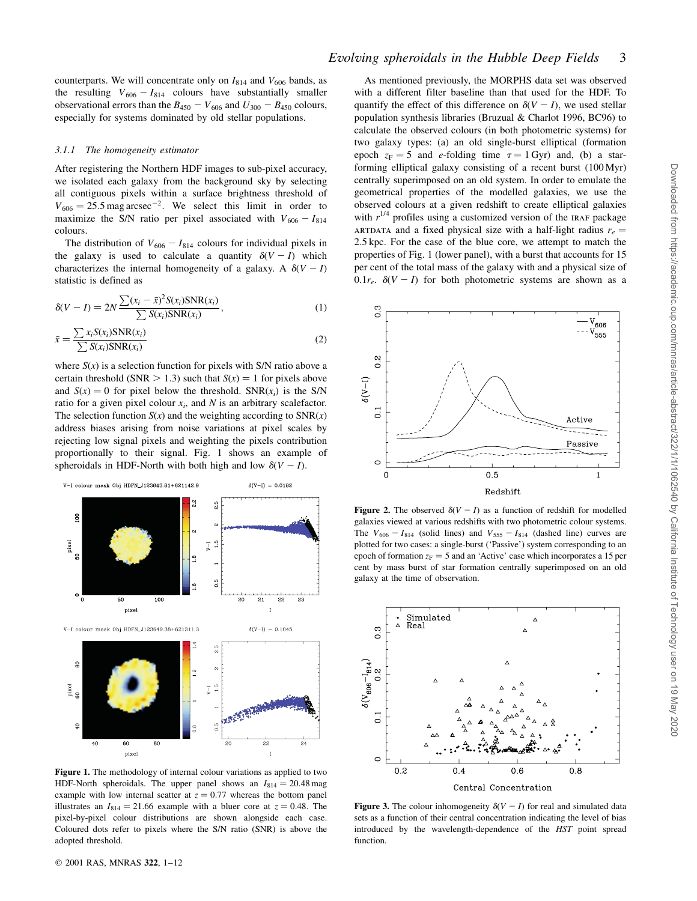counterparts. We will concentrate only on  $I_{814}$  and  $V_{606}$  bands, as the resulting  $V_{606} - I_{814}$  colours have substantially smaller observational errors than the  $B_{450} - V_{606}$  and  $U_{300} - B_{450}$  colours, especially for systems dominated by old stellar populations.

#### 3.1.1 The homogeneity estimator

After registering the Northern HDF images to sub-pixel accuracy, we isolated each galaxy from the background sky by selecting all contiguous pixels within a surface brightness threshold of  $V_{606} = 25.5$  mag arcsec<sup>-2</sup>. We select this limit in order to maximize the S/N ratio per pixel associated with  $V_{606} - I_{814}$ colours.

The distribution of  $V_{606} - I_{814}$  colours for individual pixels in the galaxy is used to calculate a quantity  $\delta(V-I)$  which characterizes the internal homogeneity of a galaxy. A  $\delta(V-I)$ statistic is defined as

$$
\delta(V - I) = 2N \frac{\sum (x_i - \bar{x})^2 S(x_i) \text{SNR}(x_i)}{\sum S(x_i) \text{SNR}(x_i)},
$$
\n(1)

$$
\bar{x} = \frac{\sum x_i S(x_i) \text{SNR}(x_i)}{\sum S(x_i) \text{SNR}(x_i)}\tag{2}
$$

where  $S(x)$  is a selection function for pixels with S/N ratio above a certain threshold (SNR  $> 1.3$ ) such that  $S(x) = 1$  for pixels above and  $S(x) = 0$  for pixel below the threshold. SNR( $x_i$ ) is the S/N ratio for a given pixel colour  $x_i$ , and N is an arbitrary scalefactor. The selection function  $S(x)$  and the weighting according to  $SNR(x)$ address biases arising from noise variations at pixel scales by rejecting low signal pixels and weighting the pixels contribution proportionally to their signal. Fig. 1 shows an example of spheroidals in HDF-North with both high and low  $\delta(V - I)$ .



Figure 1. The methodology of internal colour variations as applied to two HDF-North spheroidals. The upper panel shows an  $I_{814} = 20.48$  mag example with low internal scatter at  $z = 0.77$  whereas the bottom panel illustrates an  $I_{814} = 21.66$  example with a bluer core at  $z = 0.48$ . The pixel-by-pixel colour distributions are shown alongside each case. Coloured dots refer to pixels where the S/N ratio (SNR) is above the adopted threshold.

As mentioned previously, the MORPHS data set was observed with a different filter baseline than that used for the HDF. To quantify the effect of this difference on  $\delta(V-I)$ , we used stellar population synthesis libraries (Bruzual & Charlot 1996, BC96) to calculate the observed colours (in both photometric systems) for two galaxy types: (a) an old single-burst elliptical (formation epoch  $z_F = 5$  and e-folding time  $\tau = 1$  Gyr) and, (b) a starforming elliptical galaxy consisting of a recent burst (100 Myr) centrally superimposed on an old system. In order to emulate the geometrical properties of the modelled galaxies, we use the observed colours at a given redshift to create elliptical galaxies with  $r^{1/4}$  profiles using a customized version of the IRAF package ARTDATA and a fixed physical size with a half-light radius  $r_e =$ 2:5 kpc: For the case of the blue core, we attempt to match the properties of Fig. 1 (lower panel), with a burst that accounts for 15 per cent of the total mass of the galaxy with and a physical size of  $0.1r_e$ .  $\delta(V-I)$  for both photometric systems are shown as a



**Figure 2.** The observed  $\delta(V - I)$  as a function of redshift for modelled galaxies viewed at various redshifts with two photometric colour systems. The  $V_{606} - I_{814}$  (solid lines) and  $V_{555} - I_{814}$  (dashed line) curves are plotted for two cases: a single-burst (`Passive') system corresponding to an epoch of formation  $z_F = 5$  and an 'Active' case which incorporates a 15 per cent by mass burst of star formation centrally superimposed on an old galaxy at the time of observation.



Figure 3. The colour inhomogeneity  $\delta(V - I)$  for real and simulated data sets as a function of their central concentration indicating the level of bias introduced by the wavelength-dependence of the HST point spread function.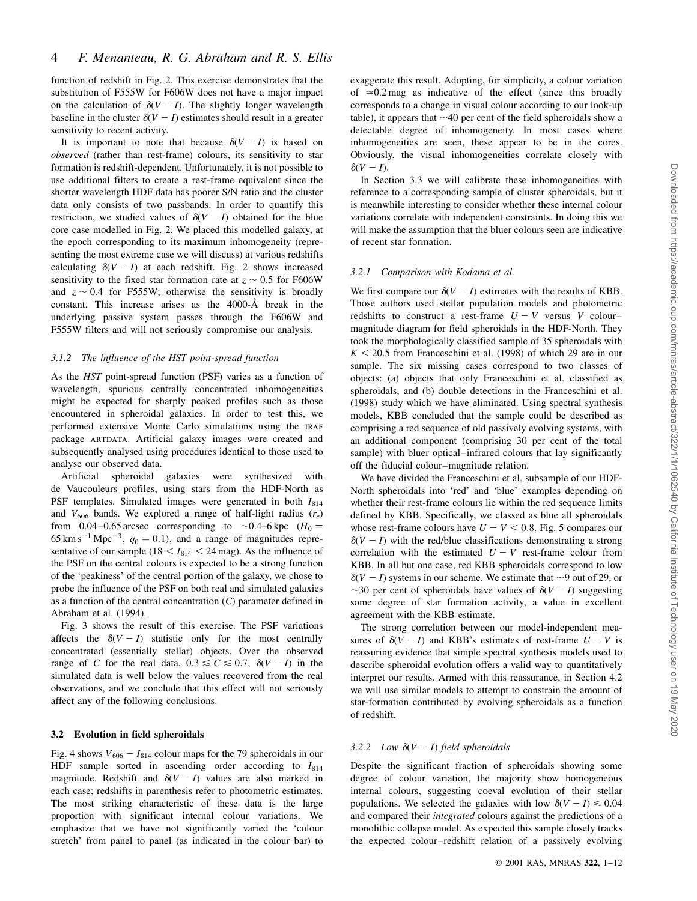function of redshift in Fig. 2. This exercise demonstrates that the substitution of F555W for F606W does not have a major impact on the calculation of  $\delta(V - I)$ . The slightly longer wavelength baseline in the cluster  $\delta(V - I)$  estimates should result in a greater sensitivity to recent activity.

It is important to note that because  $\delta(V - I)$  is based on observed (rather than rest-frame) colours, its sensitivity to star formation is redshift-dependent. Unfortunately, it is not possible to use additional filters to create a rest-frame equivalent since the shorter wavelength HDF data has poorer S/N ratio and the cluster data only consists of two passbands. In order to quantify this restriction, we studied values of  $\delta(V-I)$  obtained for the blue core case modelled in Fig. 2. We placed this modelled galaxy, at the epoch corresponding to its maximum inhomogeneity (representing the most extreme case we will discuss) at various redshifts calculating  $\delta(V - I)$  at each redshift. Fig. 2 shows increased sensitivity to the fixed star formation rate at  $z \sim 0.5$  for F606W and  $z \sim 0.4$  for F555W; otherwise the sensitivity is broadly constant. This increase arises as the  $4000-\text{\AA}$  break in the underlying passive system passes through the F606W and F555W filters and will not seriously compromise our analysis.

#### 3.1.2 The influence of the HST point-spread function

As the HST point-spread function (PSF) varies as a function of wavelength, spurious centrally concentrated inhomogeneities might be expected for sharply peaked profiles such as those encountered in spheroidal galaxies. In order to test this, we performed extensive Monte Carlo simulations using the IRAF package ARTDATA. Artificial galaxy images were created and subsequently analysed using procedures identical to those used to analyse our observed data.

Artificial spheroidal galaxies were synthesized with de Vaucouleurs profiles, using stars from the HDF-North as PSF templates. Simulated images were generated in both  $I_{814}$ and  $V_{606}$  bands. We explored a range of half-light radius  $(r_e)$ from 0.04–0.65 arcsec corresponding to  $\sim$ 0.4–6 kpc ( $H_0 =$ 65 km s<sup>-1</sup> Mpc<sup>-3</sup>,  $q_0 = 0.1$ ), and a range of magnitudes representative of our sample ( $18 < I_{814} < 24$  mag). As the influence of the PSF on the central colours is expected to be a strong function of the `peakiness' of the central portion of the galaxy, we chose to probe the influence of the PSF on both real and simulated galaxies as a function of the central concentration  $(C)$  parameter defined in Abraham et al. (1994).

Fig. 3 shows the result of this exercise. The PSF variations affects the  $\delta(V - I)$  statistic only for the most centrally concentrated (essentially stellar) objects. Over the observed range of C for the real data,  $0.3 \le C \le 0.7$ ,  $\delta(V-I)$  in the simulated data is well below the values recovered from the real observations, and we conclude that this effect will not seriously affect any of the following conclusions.

#### 3.2 Evolution in field spheroidals

Fig. 4 shows  $V_{606} - I_{814}$  colour maps for the 79 spheroidals in our HDF sample sorted in ascending order according to  $I_{814}$ magnitude. Redshift and  $\delta(V - I)$  values are also marked in each case; redshifts in parenthesis refer to photometric estimates. The most striking characteristic of these data is the large proportion with significant internal colour variations. We emphasize that we have not significantly varied the `colour stretch' from panel to panel (as indicated in the colour bar) to exaggerate this result. Adopting, for simplicity, a colour variation of  $\approx 0.2$  mag as indicative of the effect (since this broadly corresponds to a change in visual colour according to our look-up table), it appears that  $\sim$ 40 per cent of the field spheroidals show a detectable degree of inhomogeneity. In most cases where inhomogeneities are seen, these appear to be in the cores. Obviously, the visual inhomogeneities correlate closely with  $\delta(V-I).$ 

In Section 3.3 we will calibrate these inhomogeneities with reference to a corresponding sample of cluster spheroidals, but it is meanwhile interesting to consider whether these internal colour variations correlate with independent constraints. In doing this we will make the assumption that the bluer colours seen are indicative of recent star formation.

#### 3.2.1 Comparison with Kodama et al.

We first compare our  $\delta(V - I)$  estimates with the results of KBB. Those authors used stellar population models and photometric redshifts to construct a rest-frame  $U - V$  versus V colourmagnitude diagram for field spheroidals in the HDF-North. They took the morphologically classified sample of 35 spheroidals with  $K < 20.5$  from Franceschini et al. (1998) of which 29 are in our sample. The six missing cases correspond to two classes of objects: (a) objects that only Franceschini et al. classified as spheroidals, and (b) double detections in the Franceschini et al. (1998) study which we have eliminated. Using spectral synthesis models, KBB concluded that the sample could be described as comprising a red sequence of old passively evolving systems, with an additional component (comprising 30 per cent of the total sample) with bluer optical–infrared colours that lay significantly off the fiducial colour-magnitude relation.

We have divided the Franceschini et al. subsample of our HDF-North spheroidals into `red' and `blue' examples depending on whether their rest-frame colours lie within the red sequence limits defined by KBB. Specifically, we classed as blue all spheroidals whose rest-frame colours have  $U - V < 0.8$ . Fig. 5 compares our  $\delta(V - I)$  with the red/blue classifications demonstrating a strong correlation with the estimated  $U - V$  rest-frame colour from KBB. In all but one case, red KBB spheroidals correspond to low  $\delta(V - I)$  systems in our scheme. We estimate that  $\sim$ 9 out of 29, or  $\sim$ 30 per cent of spheroidals have values of  $\delta(V-I)$  suggesting some degree of star formation activity, a value in excellent agreement with the KBB estimate.

The strong correlation between our model-independent measures of  $\delta(V - I)$  and KBB's estimates of rest-frame  $U - V$  is reassuring evidence that simple spectral synthesis models used to describe spheroidal evolution offers a valid way to quantitatively interpret our results. Armed with this reassurance, in Section 4.2 we will use similar models to attempt to constrain the amount of star-formation contributed by evolving spheroidals as a function of redshift.

#### 3.2.2 Low  $\delta(V-I)$  field spheroidals

Despite the significant fraction of spheroidals showing some degree of colour variation, the majority show homogeneous internal colours, suggesting coeval evolution of their stellar populations. We selected the galaxies with low  $\delta(V - I) \leq 0.04$ and compared their integrated colours against the predictions of a monolithic collapse model. As expected this sample closely tracks the expected colour-redshift relation of a passively evolving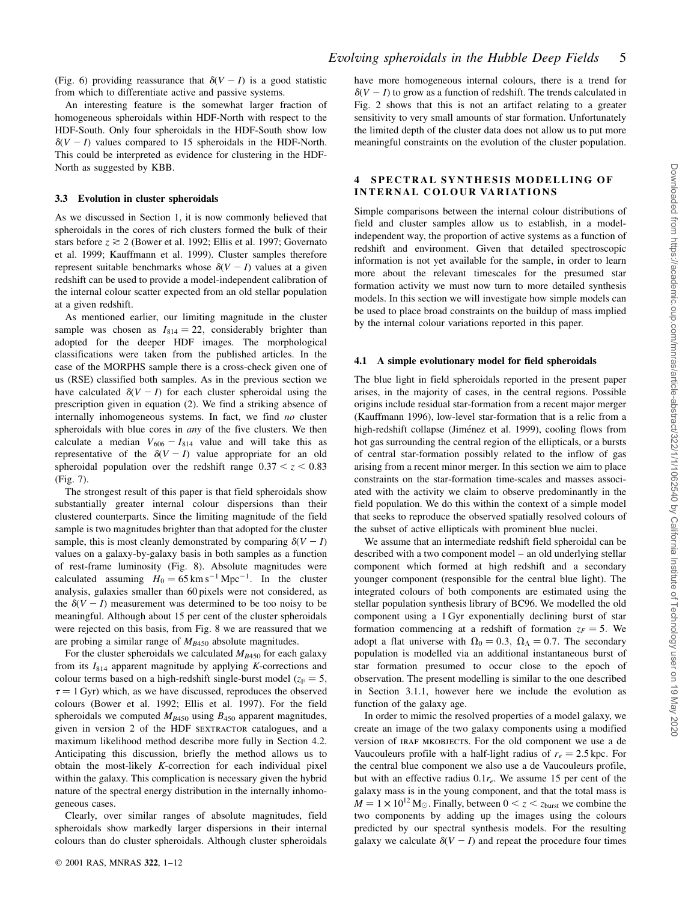(Fig. 6) providing reassurance that  $\delta(V - I)$  is a good statistic from which to differentiate active and passive systems.

An interesting feature is the somewhat larger fraction of homogeneous spheroidals within HDF-North with respect to the HDF-South. Only four spheroidals in the HDF-South show low  $\delta(V - I)$  values compared to 15 spheroidals in the HDF-North. This could be interpreted as evidence for clustering in the HDF-North as suggested by KBB.

## 3.3 Evolution in cluster spheroidals

As we discussed in Section 1, it is now commonly believed that spheroidals in the cores of rich clusters formed the bulk of their stars before  $z \ge 2$  (Bower et al. 1992; Ellis et al. 1997; Governato et al. 1999; Kauffmann et al. 1999). Cluster samples therefore represent suitable benchmarks whose  $\delta(V-I)$  values at a given redshift can be used to provide a model-independent calibration of the internal colour scatter expected from an old stellar population at a given redshift.

As mentioned earlier, our limiting magnitude in the cluster sample was chosen as  $I_{814} = 22$ , considerably brighter than adopted for the deeper HDF images. The morphological classifications were taken from the published articles. In the case of the MORPHS sample there is a cross-check given one of us (RSE) classified both samples. As in the previous section we have calculated  $\delta(V - I)$  for each cluster spheroidal using the prescription given in equation (2). We find a striking absence of internally inhomogeneous systems. In fact, we find no cluster spheroidals with blue cores in any of the five clusters. We then calculate a median  $V_{606} - I_{814}$  value and will take this as representative of the  $\delta(V - I)$  value appropriate for an old spheroidal population over the redshift range  $0.37 < z < 0.83$ (Fig. 7).

The strongest result of this paper is that field spheroidals show substantially greater internal colour dispersions than their clustered counterparts. Since the limiting magnitude of the field sample is two magnitudes brighter than that adopted for the cluster sample, this is most cleanly demonstrated by comparing  $\delta(V - I)$ values on a galaxy-by-galaxy basis in both samples as a function of rest-frame luminosity (Fig. 8). Absolute magnitudes were calculated assuming  $H_0 = 65 \text{ km s}^{-1} \text{ Mpc}^{-1}$ . In the cluster analysis, galaxies smaller than 60 pixels were not considered, as the  $\delta(V - I)$  measurement was determined to be too noisy to be meaningful. Although about 15 per cent of the cluster spheroidals were rejected on this basis, from Fig. 8 we are reassured that we are probing a similar range of  $M_{B450}$  absolute magnitudes.

For the cluster spheroidals we calculated  $M_{B450}$  for each galaxy from its  $I_{814}$  apparent magnitude by applying K-corrections and colour terms based on a high-redshift single-burst model ( $z_F = 5$ ,  $\tau = 1$  Gyr) which, as we have discussed, reproduces the observed colours (Bower et al. 1992; Ellis et al. 1997). For the field spheroidals we computed  $M_{B450}$  using  $B_{450}$  apparent magnitudes, given in version 2 of the HDF SEXTRACTOR catalogues, and a maximum likelihood method describe more fully in Section 4.2. Anticipating this discussion, briefly the method allows us to obtain the most-likely K-correction for each individual pixel within the galaxy. This complication is necessary given the hybrid nature of the spectral energy distribution in the internally inhomogeneous cases.

Clearly, over similar ranges of absolute magnitudes, field spheroidals show markedly larger dispersions in their internal colours than do cluster spheroidals. Although cluster spheroidals have more homogeneous internal colours, there is a trend for  $\delta(V - I)$  to grow as a function of redshift. The trends calculated in Fig. 2 shows that this is not an artifact relating to a greater sensitivity to very small amounts of star formation. Unfortunately the limited depth of the cluster data does not allow us to put more meaningful constraints on the evolution of the cluster population.

## 4 SPECTRAL SYNTHESIS MODELLING OF INTERNAL COLOUR VARIATIONS

Simple comparisons between the internal colour distributions of field and cluster samples allow us to establish, in a modelindependent way, the proportion of active systems as a function of redshift and environment. Given that detailed spectroscopic information is not yet available for the sample, in order to learn more about the relevant timescales for the presumed star formation activity we must now turn to more detailed synthesis models. In this section we will investigate how simple models can be used to place broad constraints on the buildup of mass implied by the internal colour variations reported in this paper.

#### 4.1 A simple evolutionary model for field spheroidals

The blue light in field spheroidals reported in the present paper arises, in the majority of cases, in the central regions. Possible origins include residual star-formation from a recent major merger (Kauffmann 1996), low-level star-formation that is a relic from a high-redshift collapse (Jiménez et al. 1999), cooling flows from hot gas surrounding the central region of the ellipticals, or a bursts of central star-formation possibly related to the inflow of gas arising from a recent minor merger. In this section we aim to place constraints on the star-formation time-scales and masses associated with the activity we claim to observe predominantly in the field population. We do this within the context of a simple model that seeks to reproduce the observed spatially resolved colours of the subset of active ellipticals with prominent blue nuclei.

We assume that an intermediate redshift field spheroidal can be described with a two component model – an old underlying stellar component which formed at high redshift and a secondary younger component (responsible for the central blue light). The integrated colours of both components are estimated using the stellar population synthesis library of BC96. We modelled the old component using a 1 Gyr exponentially declining burst of star formation commencing at a redshift of formation  $z_F = 5$ . We adopt a flat universe with  $\Omega_0 = 0.3$ ,  $\Omega_\Lambda = 0.7$ . The secondary population is modelled via an additional instantaneous burst of star formation presumed to occur close to the epoch of observation. The present modelling is similar to the one described in Section 3.1.1, however here we include the evolution as function of the galaxy age.

In order to mimic the resolved properties of a model galaxy, we create an image of the two galaxy components using a modified version of IRAF MKOBJECTS. For the old component we use a de Vaucouleurs profile with a half-light radius of  $r_e = 2.5$  kpc. For the central blue component we also use a de Vaucouleurs profile, but with an effective radius  $0.1r_e$ . We assume 15 per cent of the galaxy mass is in the young component, and that the total mass is  $M = 1 \times 10^{12}$  M<sub> $\odot$ </sub>. Finally, between  $0 < z < z_{burst}$  we combine the two components by adding up the images using the colours predicted by our spectral synthesis models. For the resulting galaxy we calculate  $\delta(V - I)$  and repeat the procedure four times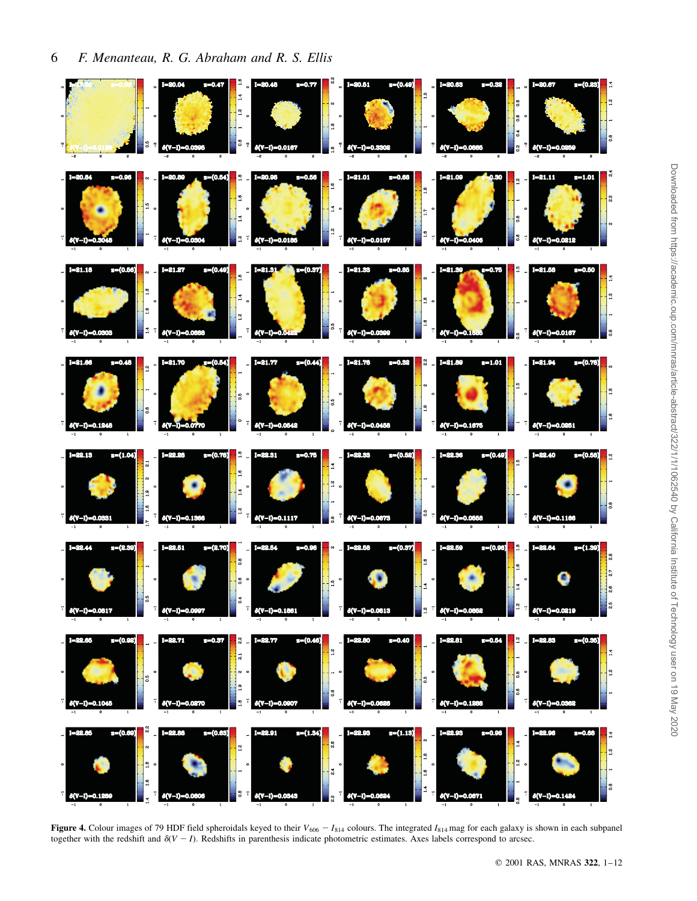

Figure 4. Colour images of 79 HDF field spheroidals keyed to their  $V_{606} - I_{814}$  colours. The integrated  $I_{814}$  mag for each galaxy is shown in each subpanel together with the redshift and  $\delta(V - I)$ . Redshifts in parenthesis indicate photometric estimates. Axes labels correspond to arcsec.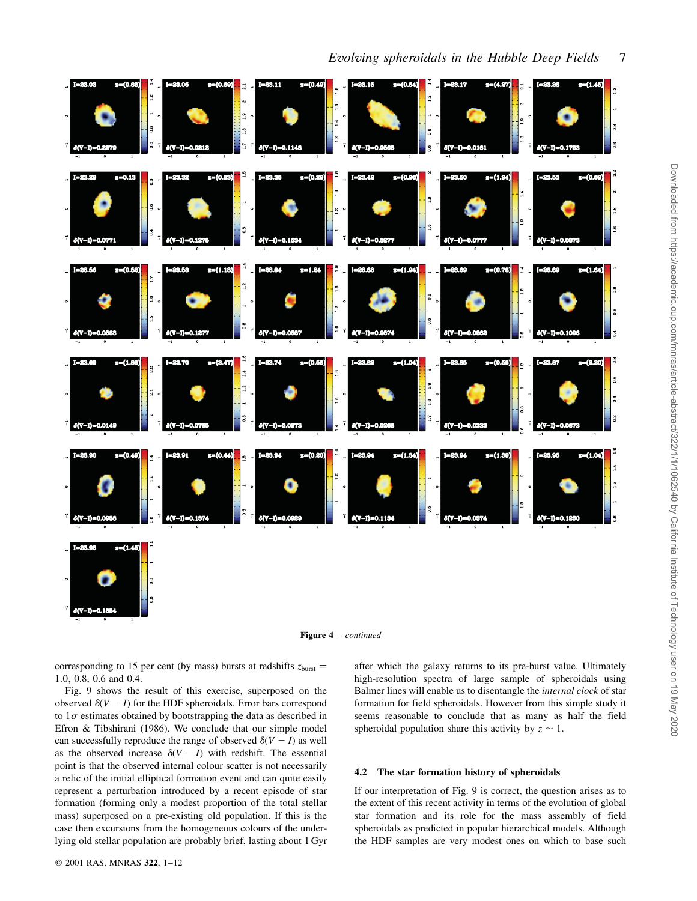



corresponding to 15 per cent (by mass) bursts at redshifts  $z_{\text{burst}} =$ 1:0; 0.8, 0.6 and 0.4.

Fig. 9 shows the result of this exercise, superposed on the observed  $\delta(V - I)$  for the HDF spheroidals. Error bars correspond to  $1\sigma$  estimates obtained by bootstrapping the data as described in Efron & Tibshirani (1986). We conclude that our simple model can successfully reproduce the range of observed  $\delta(V - I)$  as well as the observed increase  $\delta(V-I)$  with redshift. The essential point is that the observed internal colour scatter is not necessarily a relic of the initial elliptical formation event and can quite easily represent a perturbation introduced by a recent episode of star formation (forming only a modest proportion of the total stellar mass) superposed on a pre-existing old population. If this is the case then excursions from the homogeneous colours of the underlying old stellar population are probably brief, lasting about 1 Gyr

after which the galaxy returns to its pre-burst value. Ultimately high-resolution spectra of large sample of spheroidals using Balmer lines will enable us to disentangle the internal clock of star formation for field spheroidals. However from this simple study it seems reasonable to conclude that as many as half the field spheroidal population share this activity by  $z \sim 1$ .

#### 4.2 The star formation history of spheroidals

If our interpretation of Fig. 9 is correct, the question arises as to the extent of this recent activity in terms of the evolution of global star formation and its role for the mass assembly of field spheroidals as predicted in popular hierarchical models. Although the HDF samples are very modest ones on which to base such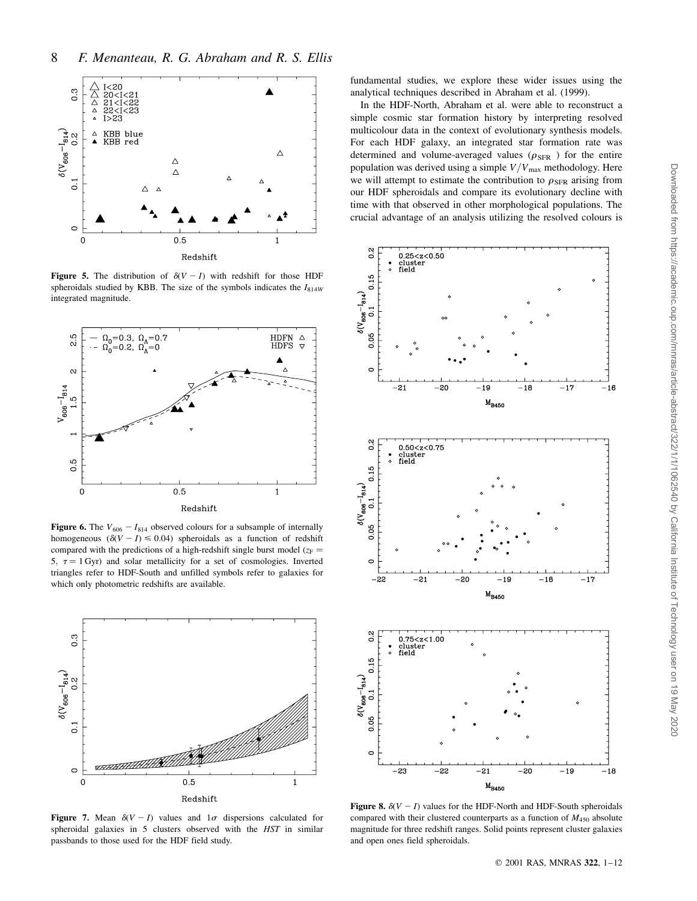

Figure 5. The distribution of  $\delta(V-I)$  with redshift for those HDF spheroidals studied by KBB. The size of the symbols indicates the  $I_{814W}$ integrated magnitude.



Figure 6. The  $V_{606} - I_{814}$  observed colours for a subsample of internally homogeneous  $(\delta(V - I) \le 0.04)$  spheroidals as a function of redshift compared with the predictions of a high-redshift single burst model ( $z_F =$ 5,  $\tau = 1$  Gyr) and solar metallicity for a set of cosmologies. Inverted triangles refer to HDF-South and unfilled symbols refer to galaxies for which only photometric redshifts are available.



Figure 7. Mean  $\delta(V - I)$  values and  $1\sigma$  dispersions calculated for spheroidal galaxies in 5 clusters observed with the HST in similar passbands to those used for the HDF field study.

fundamental studies, we explore these wider issues using the analytical techniques described in Abraham et al. (1999).

In the HDF-North, Abraham et al. were able to reconstruct a simple cosmic star formation history by interpreting resolved multicolour data in the context of evolutionary synthesis models. For each HDF galaxy, an integrated star formation rate was determined and volume-averaged values ( $\rho_{\rm SFR}$  ) for the entire population was derived using a simple  $V/V_{\text{max}}$  methodology. Here we will attempt to estimate the contribution to  $\rho_{\rm SFR}$  arising from our HDF spheroidals and compare its evolutionary decline with time with that observed in other morphological populations. The crucial advantage of an analysis utilizing the resolved colours is



Figure 8.  $\delta(V - I)$  values for the HDF-North and HDF-South spheroidals compared with their clustered counterparts as a function of  $M_{450}$  absolute magnitude for three redshift ranges. Solid points represent cluster galaxies and open ones field spheroidals.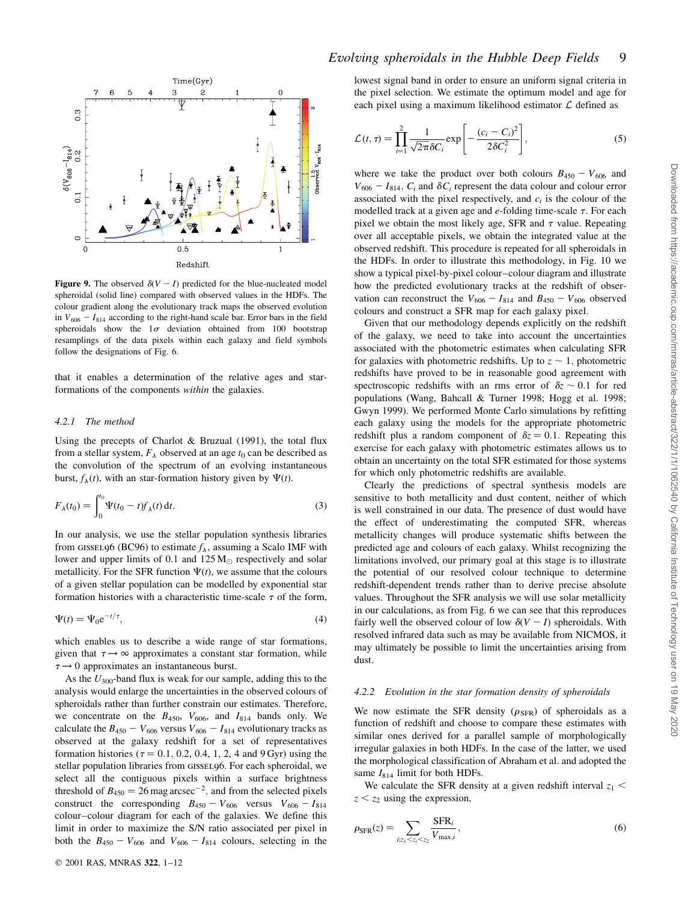

Figure 9. The observed  $\delta(V - I)$  predicted for the blue-nucleated model spheroidal (solid line) compared with observed values in the HDFs. The colour gradient along the evolutionary track maps the observed evolution in  $V_{606} - I_{814}$  according to the right-hand scale bar. Error bars in the field spheroidals show the  $1\sigma$  deviation obtained from 100 bootstrap resamplings of the data pixels within each galaxy and field symbols follow the designations of Fig. 6.

that it enables a determination of the relative ages and starformations of the components within the galaxies.

#### 4.2.1 The method

Using the precepts of Charlot & Bruzual (1991), the total flux from a stellar system,  $F_{\lambda}$  observed at an age  $t_0$  can be described as the convolution of the spectrum of an evolving instantaneous burst,  $f_{\lambda}(t)$ , with an star-formation history given by  $\Psi(t)$ .

$$
F_{\lambda}(t_0) = \int_0^{t_0} \Psi(t_0 - t) f_{\lambda}(t) dt.
$$
 (3)

In our analysis, we use the stellar population synthesis libraries from GISSEL96 (BC96) to estimate  $f_{\lambda}$ , assuming a Scalo IMF with lower and upper limits of 0.1 and  $125 M_{\odot}$  respectively and solar metallicity. For the SFR function  $\Psi(t)$ , we assume that the colours of a given stellar population can be modelled by exponential star formation histories with a characteristic time-scale  $\tau$  of the form,

$$
\Psi(t) = \Psi_0 e^{-t/\tau},\tag{4}
$$

which enables us to describe a wide range of star formations, given that  $\tau \rightarrow \infty$  approximates a constant star formation, while  $\tau \rightarrow 0$  approximates an instantaneous burst.

As the  $U_{300}$ -band flux is weak for our sample, adding this to the analysis would enlarge the uncertainties in the observed colours of spheroidals rather than further constrain our estimates. Therefore, we concentrate on the  $B_{450}$ ,  $V_{606}$ , and  $I_{814}$  bands only. We calculate the  $B_{450} - V_{606}$  versus  $V_{606} - I_{814}$  evolutionary tracks as observed at the galaxy redshift for a set of representatives formation histories ( $\tau = 0.1$ , 0.2, 0.4, 1, 2, 4 and 9 Gyr) using the stellar population libraries from GISSEL96. For each spheroidal, we select all the contiguous pixels within a surface brightness threshold of  $B_{450} = 26$  mag arcsec<sup>-2</sup>, and from the selected pixels construct the corresponding  $B_{450} - V_{606}$  versus  $V_{606} - I_{814}$ colour-colour diagram for each of the galaxies. We define this limit in order to maximize the S/N ratio associated per pixel in both the  $B_{450} - V_{606}$  and  $V_{606} - I_{814}$  colours, selecting in the lowest signal band in order to ensure an uniform signal criteria in the pixel selection. We estimate the optimum model and age for each pixel using a maximum likelihood estimator  $\mathcal L$  defined as

$$
\mathcal{L}(t,\tau) = \prod_{i=1}^{2} \frac{1}{\sqrt{2\pi} \delta C_i} \exp\left[-\frac{(c_i - C_i)^2}{2\delta C_i^2}\right],
$$
\n(5)

where we take the product over both colours  $B_{450} - V_{606}$  and  $V_{606} - I_{814}$ ,  $C_i$  and  $\delta C_i$  represent the data colour and colour error associated with the pixel respectively, and  $c_i$  is the colour of the modelled track at a given age and  $e$ -folding time-scale  $\tau$ . For each pixel we obtain the most likely age, SFR and  $\tau$  value. Repeating over all acceptable pixels, we obtain the integrated value at the observed redshift. This procedure is repeated for all spheroidals in the HDFs. In order to illustrate this methodology, in Fig. 10 we show a typical pixel-by-pixel colour-colour diagram and illustrate how the predicted evolutionary tracks at the redshift of observation can reconstruct the  $V_{606} - I_{814}$  and  $B_{450} - V_{606}$  observed colours and construct a SFR map for each galaxy pixel.

Given that our methodology depends explicitly on the redshift of the galaxy, we need to take into account the uncertainties associated with the photometric estimates when calculating SFR for galaxies with photometric redshifts. Up to  $z \sim 1$ , photometric redshifts have proved to be in reasonable good agreement with spectroscopic redshifts with an rms error of  $\delta z \sim 0.1$  for red populations (Wang, Bahcall & Turner 1998; Hogg et al. 1998; Gwyn 1999). We performed Monte Carlo simulations by refitting each galaxy using the models for the appropriate photometric redshift plus a random component of  $\delta z = 0.1$ . Repeating this exercise for each galaxy with photometric estimates allows us to obtain an uncertainty on the total SFR estimated for those systems for which only photometric redshifts are available.

Clearly the predictions of spectral synthesis models are sensitive to both metallicity and dust content, neither of which is well constrained in our data. The presence of dust would have the effect of underestimating the computed SFR, whereas metallicity changes will produce systematic shifts between the predicted age and colours of each galaxy. Whilst recognizing the limitations involved, our primary goal at this stage is to illustrate the potential of our resolved colour technique to determine redshift-dependent trends rather than to derive precise absolute values. Throughout the SFR analysis we will use solar metallicity in our calculations, as from Fig. 6 we can see that this reproduces fairly well the observed colour of low  $\delta(V - I)$  spheroidals. With resolved infrared data such as may be available from NICMOS, it may ultimately be possible to limit the uncertainties arising from dust.

#### 4.2.2 Evolution in the star formation density of spheroidals

We now estimate the SFR density  $(\rho_{\rm SFR})$  of spheroidals as a function of redshift and choose to compare these estimates with similar ones derived for a parallel sample of morphologically irregular galaxies in both HDFs. In the case of the latter, we used the morphological classification of Abraham et al. and adopted the same  $I_{814}$  limit for both HDFs.

We calculate the SFR density at a given redshift interval  $z_1$  <  $z < z_2$  using the expression,

$$
\rho_{\text{SFR}}(z) = \sum_{i; z_1 < z_2 < z_2} \frac{\text{SFR}_i}{V_{\text{max},i}},\tag{6}
$$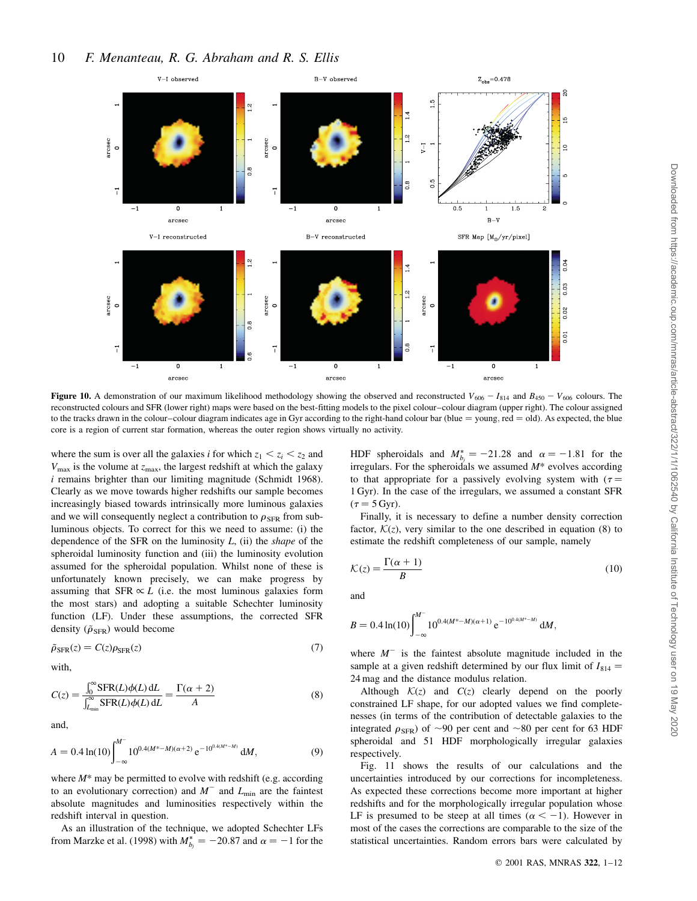Downloaded from https://academic.oup.com/mnras/article-abstract/322/1/1/1062540 by California Institute of Technology user on 19 May 2020

Downloaded from https://academic.oup.com/mnras/article-abstract/322/1/1/1062540 by California Institute of Technology user on 19 May 2020



Figure 10. A demonstration of our maximum likelihood methodology showing the observed and reconstructed  $V_{606} - I_{814}$  and  $B_{450} - V_{606}$  colours. The reconstructed colours and SFR (lower right) maps were based on the best-fitting models to the pixel colour-colour diagram (upper right). The colour assigned to the tracks drawn in the colour-colour diagram indicates age in Gyr according to the right-hand colour bar (blue = young, red = old). As expected, the blue core is a region of current star formation, whereas the outer region shows virtually no activity.

where the sum is over all the galaxies *i* for which  $z_1 < z_i < z_2$  and  $V_{\text{max}}$  is the volume at  $z_{\text{max}}$ , the largest redshift at which the galaxy i remains brighter than our limiting magnitude (Schmidt 1968). Clearly as we move towards higher redshifts our sample becomes increasingly biased towards intrinsically more luminous galaxies and we will consequently neglect a contribution to  $\rho_{\rm SFR}$  from subluminous objects. To correct for this we need to assume: (i) the dependence of the SFR on the luminosity  $L$ , (ii) the *shape* of the spheroidal luminosity function and (iii) the luminosity evolution assumed for the spheroidal population. Whilst none of these is unfortunately known precisely, we can make progress by assuming that SFR  $\propto L$  (i.e. the most luminous galaxies form the most stars) and adopting a suitable Schechter luminosity function (LF). Under these assumptions, the corrected SFR density ( $\tilde{\rho}_{\text{SFR}}$ ) would become

$$
\tilde{\rho}_{\text{SFR}}(z) = C(z)\rho_{\text{SFR}}(z) \tag{7}
$$

with,

$$
C(z) = \frac{\int_0^\infty \text{SFR}(L)\phi(L) \, \text{d}L}{\int_{L_{\text{min}}}^\infty \text{SFR}(L)\phi(L) \, \text{d}L} = \frac{\Gamma(\alpha + 2)}{A} \tag{8}
$$

and,

$$
A = 0.4 \ln(10) \int_{-\infty}^{M^-} 10^{0.4(M^* - M)(\alpha + 2)} e^{-10^{0.4(M^* - M)}} dM,
$$
 (9)

where  $M^*$  may be permitted to evolve with redshift (e.g. according to an evolutionary correction) and  $M^-$  and  $L_{\text{min}}$  are the faintest absolute magnitudes and luminosities respectively within the redshift interval in question.

As an illustration of the technique, we adopted Schechter LFs from Marzke et al. (1998) with  $M_{b_j}^* = -20.87$  and  $\alpha = -1$  for the

HDF spheroidals and  $M_{b_j}^* = -21.28$  and  $\alpha = -1.81$  for the irregulars. For the spheroidals we assumed  $M^*$  evolves according to that appropriate for a passively evolving system with  $(\tau =$ 1 Gyr: In the case of the irregulars, we assumed a constant SFR  $(\tau = 5 \,\text{Gyr}).$ 

Finally, it is necessary to define a number density correction factor,  $\mathcal{K}(z)$ , very similar to the one described in equation (8) to estimate the redshift completeness of our sample, namely

$$
\mathcal{K}(z) = \frac{\Gamma(\alpha + 1)}{B} \tag{10}
$$

and

$$
B = 0.4 \ln(10) \int_{-\infty}^{M^-} 10^{0.4(M^* - M)(\alpha + 1)} e^{-10^{0.4(M^* - M)}} dM,
$$

where  $M^-$  is the faintest absolute magnitude included in the sample at a given redshift determined by our flux limit of  $I_{814}$  = 24 mag and the distance modulus relation.

Although  $K(z)$  and  $C(z)$  clearly depend on the poorly constrained LF shape, for our adopted values we find completenesses (in terms of the contribution of detectable galaxies to the integrated  $\rho_{\rm SFR}$ ) of  $\sim$ 90 per cent and  $\sim$ 80 per cent for 63 HDF spheroidal and 51 HDF morphologically irregular galaxies respectively.

Fig. 11 shows the results of our calculations and the uncertainties introduced by our corrections for incompleteness. As expected these corrections become more important at higher redshifts and for the morphologically irregular population whose LF is presumed to be steep at all times  $(\alpha < -1)$ . However in most of the cases the corrections are comparable to the size of the statistical uncertainties. Random errors bars were calculated by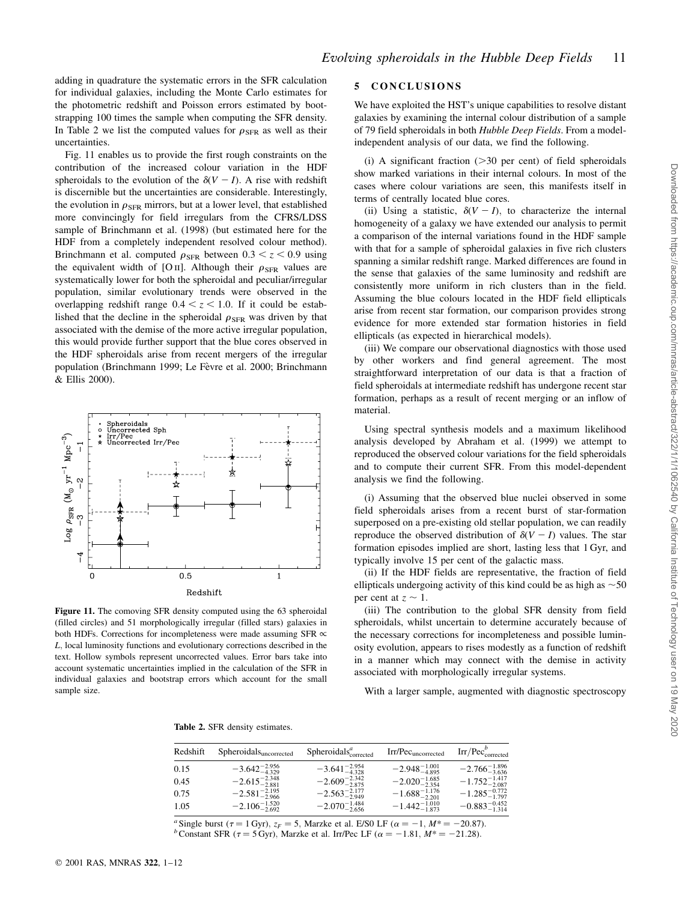adding in quadrature the systematic errors in the SFR calculation for individual galaxies, including the Monte Carlo estimates for the photometric redshift and Poisson errors estimated by bootstrapping 100 times the sample when computing the SFR density. In Table 2 we list the computed values for  $\rho_{\rm SFR}$  as well as their uncertainties.

Fig. 11 enables us to provide the first rough constraints on the contribution of the increased colour variation in the HDF spheroidals to the evolution of the  $\delta(V - I)$ . A rise with redshift is discernible but the uncertainties are considerable. Interestingly, the evolution in  $\rho_{\rm SFR}$  mirrors, but at a lower level, that established more convincingly for field irregulars from the CFRS/LDSS sample of Brinchmann et al. (1998) (but estimated here for the HDF from a completely independent resolved colour method). Brinchmann et al. computed  $\rho_{SFR}$  between  $0.3 < z < 0.9$  using the equivalent width of [O iii]. Although their  $\rho_{\rm SFR}$  values are systematically lower for both the spheroidal and peculiar/irregular population, similar evolutionary trends were observed in the overlapping redshift range  $0.4 < z < 1.0$ . If it could be established that the decline in the spheroidal  $\rho_{\rm SFR}$  was driven by that associated with the demise of the more active irregular population, this would provide further support that the blue cores observed in the HDF spheroidals arise from recent mergers of the irregular population (Brinchmann 1999; Le Fèvre et al. 2000; Brinchmann & Ellis 2000).



Figure 11. The comoving SFR density computed using the 63 spheroidal (filled circles) and 51 morphologically irregular (filled stars) galaxies in both HDFs. Corrections for incompleteness were made assuming SFR  $\propto$ L; local luminosity functions and evolutionary corrections described in the text. Hollow symbols represent uncorrected values. Error bars take into account systematic uncertainties implied in the calculation of the SFR in individual galaxies and bootstrap errors which account for the small sample size.

## 5 CONCLUSIONS

We have exploited the HST's unique capabilities to resolve distant galaxies by examining the internal colour distribution of a sample of 79 field spheroidals in both Hubble Deep Fields. From a modelindependent analysis of our data, we find the following.

(i) A significant fraction  $(>=30$  per cent) of field spheroidals show marked variations in their internal colours. In most of the cases where colour variations are seen, this manifests itself in terms of centrally located blue cores.

(ii) Using a statistic,  $\delta(V - I)$ , to characterize the internal homogeneity of a galaxy we have extended our analysis to permit a comparison of the internal variations found in the HDF sample with that for a sample of spheroidal galaxies in five rich clusters spanning a similar redshift range. Marked differences are found in the sense that galaxies of the same luminosity and redshift are consistently more uniform in rich clusters than in the field. Assuming the blue colours located in the HDF field ellipticals arise from recent star formation, our comparison provides strong evidence for more extended star formation histories in field ellipticals (as expected in hierarchical models).

(iii) We compare our observational diagnostics with those used by other workers and find general agreement. The most straightforward interpretation of our data is that a fraction of field spheroidals at intermediate redshift has undergone recent star formation, perhaps as a result of recent merging or an inflow of material.

Using spectral synthesis models and a maximum likelihood analysis developed by Abraham et al. (1999) we attempt to reproduced the observed colour variations for the field spheroidals and to compute their current SFR. From this model-dependent analysis we find the following.

(i) Assuming that the observed blue nuclei observed in some field spheroidals arises from a recent burst of star-formation superposed on a pre-existing old stellar population, we can readily reproduce the observed distribution of  $\delta(V - I)$  values. The star formation episodes implied are short, lasting less that 1 Gyr, and typically involve 15 per cent of the galactic mass.

(ii) If the HDF fields are representative, the fraction of field ellipticals undergoing activity of this kind could be as high as  $\sim$  50 per cent at  $z \sim 1$ .

(iii) The contribution to the global SFR density from field spheroidals, whilst uncertain to determine accurately because of the necessary corrections for incompleteness and possible luminosity evolution, appears to rises modestly as a function of redshift in a manner which may connect with the demise in activity associated with morphologically irregular systems.

With a larger sample, augmented with diagnostic spectroscopy

Table 2. SFR density estimates.

| Redshift | Spheroidalsuncorrected     | $Spheroidalscorrectedu$    | Irr/Pec <sub>uncorrected</sub> | $Irr/Pec^{\nu}_{\text{corrected}}$ |
|----------|----------------------------|----------------------------|--------------------------------|------------------------------------|
| 0.15     | $-3.642_{-4.329}^{-2.956}$ | $-3.641_{-4.328}^{-2.954}$ | $-2.948_{-4.895}^{+1.001}$     | $-2.766_{-3.636}^{-1.896}$         |
| 0.45     | $-2.615_{-2.881}^{-2.348}$ | $-2.609^{-2.342}_{-2.875}$ | $-2.020^{-1.685}_{-2.354}$     | $-1.752_{-2.087}^{-1.417}$         |
| 0.75     | $-2.581_{-2.966}^{-2.195}$ | $-2.563_{-2.949}^{-2.177}$ | $-1.688_{-2.201}^{+1.176}$     | $-1.285_{-1.797}^{-0.772}$         |
| 1.05     | $-2.106_{-2.692}^{+1.520}$ | $-2.070^{-1.484}_{-2.656}$ | $-1.442_{-1.873}^{+1.010}$     | $-0.883_{-1.314}^{-0.452}$         |

<sup>a</sup> Single burst  $(\tau = 1 \text{ Gyr})$ ,  $z_F = 5$ , Marzke et al. E/S0 LF  $(\alpha = -1, M^* = -20.87)$ .<br><sup>b</sup>Constant SFR  $(\tau = 5 \text{ Gyr})$ , Marzke et al. Irr/Pec LF  $(\alpha = -1.81, M^* = -21.28)$ .